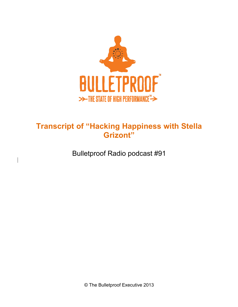

# **Transcript of "Hacking Happiness with Stella Grizont"**

Bulletproof Radio podcast #91

 $\overline{\phantom{a}}$ 

© The Bulletproof Executive 2013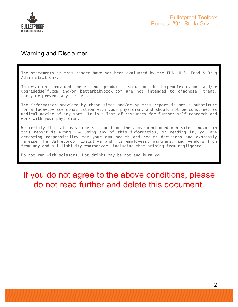

### Warning and Disclaimer

The statements in this report have not been evaluated by the FDA (U.S. Food & Drug Administration).

Information provided here and products sold on bulletproofexec.com and/or upgradedself.com and/or betterbabybook.com are not intended to diagnose, treat, cure, or prevent any disease.

The information provided by these sites and/or by this report is not a substitute for a face-to-face consultation with your physician, and should not be construed as medical advice of any sort. It is a list of resources for further self-research and work with your physician.

We certify that at least one statement on the above-mentioned web sites and/or in this report is wrong. By using any of this information, or reading it, you are accepting responsibility for your own health and health decisions and expressly release The Bulletproof Executive and its employees, partners, and vendors from from any and all liability whatsoever, including that arising from negligence.

Do not run with scissors. Hot drinks may be hot and burn you.

# If you do not agree to the above conditions, please do not read further and delete this document.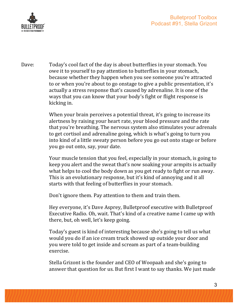

Dave: Today's cool fact of the day is about butterflies in your stomach. You owe it to yourself to pay attention to butterflies in your stomach, because whether they happen when you see someone you're attracted to or when you're about to go onstage to give a public presentation, it's actually a stress response that's caused by adrenaline. It is one of the ways that you can know that your body's fight or flight response is kicking in.

> When your brain perceives a potential threat, it's going to increase its alertness by raising your heart rate, your blood pressure and the rate that you're breathing. The nervous system also stimulates your adrenals to get cortisol and adrenaline going, which is what's going to turn you into kind of a little sweaty person before you go out onto stage or before you go out onto, say, your date.

> Your muscle tension that you feel, especially in your stomach, is going to keep you alert and the sweat that's now soaking your armpits is actually what helps to cool the body down as you get ready to fight or run away. This is an evolutionary response, but it's kind of annoying and it all starts with that feeling of butterflies in your stomach.

Don't ignore them. Pay attention to them and train them.

Hey everyone, it's Dave Asprey, Bulletproof executive with Bulletproof Executive Radio. Oh, wait. That's kind of a creative name I came up with there, but, oh well, let's keep going.

Today's guest is kind of interesting because she's going to tell us what would you do if an ice cream truck showed up outside your door and you were told to get inside and scream as part of a team-building exercise.

Stella Grizont is the founder and CEO of Woopaah and she's going to answer that question for us. But first I want to say thanks. We just made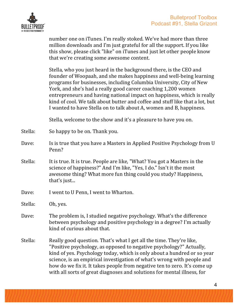

number one on iTunes. I'm really stoked. We've had more than three million downloads and I'm just grateful for all the support. If you like this show, please click "like" on iTunes and just let other people know that we're creating some awesome content.

Stella, who you just heard in the background there, is the CEO and founder of Woopaah, and she makes happiness and well-being learning programs for businesses, including Columbia University, City of New York, and she's had a really good career coaching 1,200 women entrepreneurs and having national impact on happiness, which is really kind of cool. We talk about butter and coffee and stuff like that a lot, but I wanted to have Stella on to talk about A, women and B, happiness.

Stella, welcome to the show and it's a pleasure to have you on.

- Stella: So happy to be on. Thank you.
- Dave: Is is true that you have a Masters in Applied Positive Psychology from U Penn?
- Stella: It is true. It is true. People are like, "What? You got a Masters in the science of happiness?" And I'm like, "Yes, I do." Isn't it the most awesome thing? What more fun thing could you study? Happiness, that's just...
- Dave: I went to U Penn, I went to Wharton.

Stella: Oh, yes.

- Dave: The problem is, I studied negative psychology. What's the difference between psychology and positive psychology in a degree? I'm actually kind of curious about that.
- Stella: Really good question. That's what I get all the time. They're like, "Positive psychology, as opposed to negative psychology?" Actually, kind of yes. Psychology today, which is only about a hundred or so year science, is an empirical investigation of what's wrong with people and how do we fix it. It takes people from negative ten to zero. It's come up with all sorts of great diagnoses and solutions for mental illness, for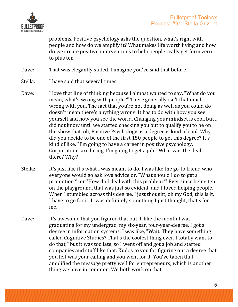

problems. Positive psychology asks the question, what's right with people and how do we amplify it? What makes life worth living and how do we create positive interventions to help people really get form zero to plus ten.

Dave: That was elegantly stated. I imagine you've said that before.

- Stella: I have said that several times.
- Dave: I love that line of thinking because I almost wanted to say, "What do you mean, what's wrong with people?" There generally isn't that much wrong with you. The fact that you're not doing as well as you could do doesn't mean there's anything wrong. It has to do with how you see vourself and how you see the world. Changing your mindset is cool, but I did not know until we started checking you out to qualify you to be on the show that, oh, Positive Psychology as a degree is kind of cool. Why did you decide to be one of the first 150 people to get this degree? It's kind of like, "I'm going to have a career in positive psychology. Corporations are hiring, I'm going to get a job." What was the deal there? Why?
- Stella: It's just like it's what I was meant to do. I was like the go-to friend who everyone would go ask love advice or, "What should I do to get a promotion?', or "How do I deal with this problem?" Ever since being ten on the playground, that was just so evident, and I loved helping people. When I stumbled across this degree, I just thought, oh my God, this is it. I have to go for it. It was definitely something I just thought, that's for me.
- Dave: It's awesome that you figured that out. I, like the month I was graduating for my undergrad, my six-year, four-year-degree, I got a degree in information systems. I was like, "Wait. They have something called Cognitive Studies? That's the coolest thing ever. I totally want to do that," but it was too late, so I went off and got a job and started companies and stuff like that. Kudos to you for figuring out a degree that you felt was your calling and you went for it. You've taken that, amplified the message pretty well for entrepreneurs, which is another thing we have in common. We both work on that.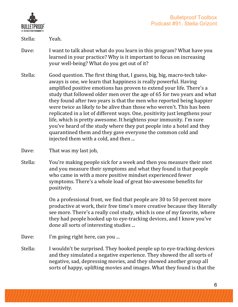

Stella: Yeah.

- Dave: I want to talk about what do you learn in this program? What have you learned in your practice? Why is it important to focus on increasing your well-being? What do you get out of it?
- Stella: Good question. The first thing that, I guess, big, big, macro-tech takeaways is one, we learn that happiness is really powerful. Having amplified positive emotions has proven to extend your life. There's a study that followed older men over the age of 65 for two years and what they found after two years is that the men who reported being happier were twice as likely to be alive than those who weren't. This has been replicated in a lot of different ways. One, positivity just lengthens your life, which is pretty awesome. It heightens your immunity. I'm sure you've heard of the study where they put people into a hotel and they quarantined them and they gave everyone the common cold and injected them with a cold, and then ...
- Dave: That was my last job,
- Stella: You're making people sick for a week and then you measure their snot and you measure their symptoms and what they found is that people who came in with a more positive mindset experienced fewer symptoms. There's a whole load of great bio-awesome benefits for positivity.

On a professional front, we find that people are 30 to 50 percent more productive at work, their free time's more creative because they literally see more. There's a really cool study, which is one of my favorite, where they had people hooked up to eye-tracking devices, and I know you've done all sorts of interesting studies ...

- Dave: I'm going right here, can you ...
- Stella: I wouldn't be surprised. They hooked people up to eye-tracking devices and they simulated a negative experience. They showed the all sorts of negative, sad, depressing movies, and they showed another group all sorts of happy, uplifting movies and images. What they found is that the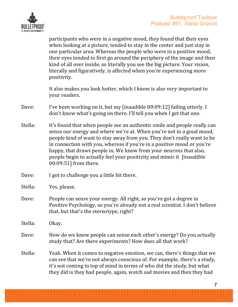

participants who were in a negative mood, they found that their eyes when looking at a picture, tended to stay in the center and just stay in one particular area. Whereas the people who were in a positive mood, their eves tended to first go around the periphery of the image and then kind of all over inside, so literally you see the big picture. Your vision, literally and figuratively, is affected when you're experiencing more positivity.

It also makes you look hotter, which I know is also very important to your readers.

- Dave: I've been working on it, but my [inaudible 00:09:12] failing utterly. I don't know what's going on there. I'll tell you when I get that one.
- Stella: It's found that when people see an authentic smile and people really can sense our energy and where we're at. When you're not in a good mood, people kind of want to stay away from you. They don't really want to be in connection with you, whereas if you're in a positive mood or you're happy, that draws people in. We know from your neurons that also, people begin to actually feel your positivity and mimic it [inaudible] 00:09:51] from there.
- Dave:  $I$  got to challenge you a little bit there.
- Stella: Yes, please.
- Dave: People can sense your energy. All right, so you've got a degree in Positive Psychology, so you're already not a real scientist. I don't believe that, but that's the stereotype, right?
- Stella: Okay.
- Dave: How do we know people can sense each other's energy? Do you actually study that? Are there experiments? How does all that work?
- Stella: Yeah. When it comes to negative emotion, we can, there's things that we can see that we're not always conscious of. For example, there's a study, it's not coming to top of mind in terms of who did the study, but what they did is they had people, again, watch sad movies and then they had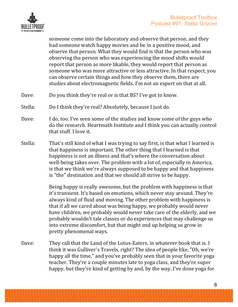

someone come into the laboratory and observe that person, and they had someone watch happy movies and be in a positive mood, and observe that person. What they would find is that the person who was observing the person who was experiencing the mood shifts would report that person as more likable, they would report that person as someone who was more attractive or less attractive. In that respect, you can observe certain things and how they observe them, there are studies about electromagnetic fields. I'm not an expert on that at all.

- Dave: Do you think they're real or is that BS? I've got to know.
- Stella: Do I think they're real? Absolutely, because I just do.
- Dave: I do, too. I've seen some of the studies and know some of the guys who do the research. Heartmath Institute and I think you can actually control that stuff. I love it.
- Stella: That's still kind of what I was trying to say first, is that what I learned is that happiness is important. The other thing that I learned is that happiness is not an illness and that's where the conversation about well-being takes over. The problem with a lot of, especially in America, is that we think we're always supposed to be happy and that happiness is "the" destination and that we should all strive to be happy.

Being happy is really awesome, but the problem with happiness is that it's transient. It's based on emotions, which never stay around. They're always kind of fluid and moving. The other problem with happiness is that if all we cared about was being happy, we probably would never have children, we probably would never take care of the elderly, and we probably wouldn't tale classes or do experiences that may challenge us into extreme discomfort, but that might end up helping us grow in pretty phenomenal ways.

Dave: They call that the Land of the Lotus-Eaters, in whatever book that is. I think it was Gulliver's Travels, right? The idea of people like, "Oh, we're happy all the time," and you've probably seen that in your favorite yoga teacher. They're a couple minutes late to yoga class, and they're super happy, but they're kind of getting by and, by the way, I've done yoga for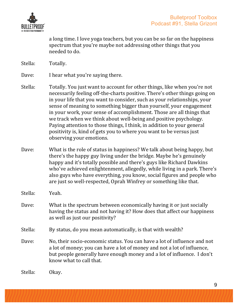

a long time. I love yoga teachers, but you can be so far on the happiness spectrum that you're maybe not addressing other things that you needed to do.

Stella: Totally.

Dave: I hear what you're saying there.

- Stella: Totally. You just want to account for other things, like when you're not necessarily feeling off-the-charts positive. There's other things going on in your life that you want to consider, such as your relationships, your sense of meaning to something bigger than yourself, your engagement in your work, your sense of accomplishment. Those are all things that we track when we think about well-being and positive psychology. Paying attention to those things, I think, in addition to your general positivity is, kind of gets you to where you want to be versus just observing your emotions.
- Dave: What is the role of status in happiness? We talk about being happy, but there's the happy guy living under the bridge. Maybe he's genuinely happy and it's totally possible and there's guys like Richard Dawkins who've achieved enlightenment, allegedly, while living in a park. There's also guys who have everything, you know, social figures and people who are just so well-respected, Oprah Winfrey or something like that.
- Stella: Yeah.
- Dave: What is the spectrum between economically having it or just socially having the status and not having it? How does that affect our happiness as well as just our positivity?
- Stella: By status, do you mean automatically, is that with wealth?
- Dave: No, their socio-economic status. You can have a lot of influence and not a lot of money; you can have a lot of money and not a lot of influence, but people generally have enough money and a lot of influence. I don't know what to call that.

Stella: Okay.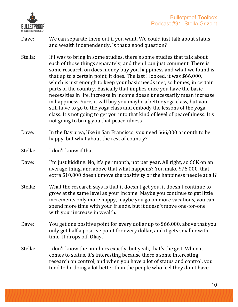

- Dave: We can separate them out if you want. We could just talk about status and wealth independently. Is that a good question?
- Stella: If I was to bring in some studies, there's some studies that talk about each of those things separately, and then I can just comment. There is some research on does money buy you happiness and what we found is that up to a certain point, it does. The last I looked, it was  $$66,000$ , which is just enough to keep your basic needs met, so homes, in certain parts of the country. Basically that implies once you have the basic necessities in life, increase in income doesn't necessarily mean increase in happiness. Sure, it will buy you maybe a better yoga class, but you still have to go to the yoga class and embody the lessons of the yoga class. It's not going to get you into that kind of level of peacefulness. It's not going to bring you that peacefulness.
- Dave: In the Bay area, like in San Francisco, you need \$66,000 a month to be happy, but what about the rest of country?
- $Stella:$  I don't know if that ...
- Dave: I'm just kidding. No, it's per month, not per year. All right, so 66K on an average thing, and above that what happens? You make \$76,000, that extra \$10,000 doesn't move the positivity or the happiness needle at all?
- Stella: What the research says is that it doesn't get you, it doesn't continue to grow at the same level as your income. Maybe you continue to get little increments only more happy, maybe you go on more vacations, you can spend more time with your friends, but it doesn't move one-for-one with your increase in wealth.
- Dave: You get one positive point for every dollar up to \$66,000, above that you only get half a positive point for every dollar, and it gets smaller with time. It drops off. Okay.
- Stella: I don't know the numbers exactly, but yeah, that's the gist. When it comes to status, it's interesting because there's some interesting research on control, and when you have a lot of status and control, you tend to be doing a lot better than the people who feel they don't have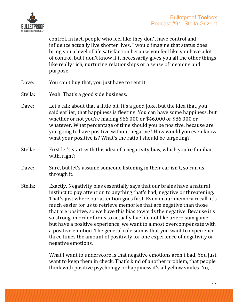

control. In fact, people who feel like they don't have control and influence actually live shorter lives. I would imagine that status does bring you a level of life satisfaction because you feel like you have a lot of control, but I don't know if it necessarily gives you all the other things like really rich, nurturing relationships or a sense of meaning and purpose.

- Dave: You can't buy that, you just have to rent it.
- Stella: Yeah. That's a good side business.
- Dave: Let's talk about that a little bit. It's a good joke, but the idea that, you said earlier, that happiness is fleeting. You can have some happiness, but whether or not you're making  $$66,000$  or  $$46,000$  or  $$86,000$  or whatever. What percentage of time should you be positive, because are you going to have positive without negative? How would you even know what your positive is? What's the ratio I should be targeting?
- Stella: First let's start with this idea of a negativity bias, which you're familiar with, right?
- Dave: Sure, but let's assume someone listening in their car isn't, so run us through it.
- Stella: Exactly. Negativity bias essentially says that our brains have a natural instinct to pay attention to anything that's bad, negative or threatening. That's just where our attention goes first. Even in our memory recall, it's much easier for us to retrieve memories that are negative than those that are positive, so we have this bias towards the negative. Because it's so strong, in order for us to actually live life not like a zero sum game but have a positive experience, we want to almost overcompensate with a positive emotion. The general rule sum is that you want to experience three times the amount of positivity for one experience of negativity or negative emotions.

What I want to underscore is that negative emotions aren't bad. You just want to keep them in check. That's kind of another problem, that people think with positive psychology or happiness it's all yellow smiles. No,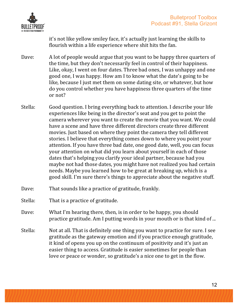

it's not like yellow smiley face, it's actually just learning the skills to flourish within a life experience where shit hits the fan.

- Dave: A lot of people would argue that you want to be happy three quarters of the time, but they don't necessarily feel in control of their happiness. Like, okay, I went on four dates. Three bad ones, I was unhappy and one good one, I was happy. How am I to know what the date's going to be like, because I just met them on some dating site, or whatever, but how do you control whether you have happiness three quarters of the time or not?
- Stella: Good question. I bring everything back to attention. I describe your life experiences like being in the director's seat and you get to point the camera wherever you want to create the movie that you want. We could have a scene and have three different directors create three different movies. Just based on where they point the camera they tell different stories. I believe that everything comes down to where you point your attention. If you have three bad date, one good date, well, you can focus your attention on what did you learn about yourself in each of those dates that's helping you clarify your ideal partner, because had you maybe not had those dates, you might have not realized you had certain needs. Maybe you learned how to be great at breaking up, which is a good skill. I'm sure there's things to appreciate about the negative stuff.
- Dave: That sounds like a practice of gratitude, frankly.
- Stella: That is a practice of gratitude.
- Dave: What I'm hearing there, then, is in order to be happy, you should practice gratitude. Am I putting words in your mouth or is that kind of ...
- Stella: Not at all. That is definitely one thing you want to practice for sure. I see gratitude as the gateway emotion and if you practice enough gratitude, it kind of opens you up on the continuum of positivity and it's just an easier thing to access. Gratitude is easier sometimes for people than love or peace or wonder, so gratitude's a nice one to get in the flow.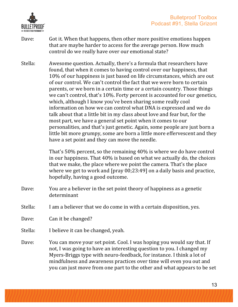

- Dave: Got it. When that happens, then other more positive emotions happen that are maybe harder to access for the average person. How much control do we really have over our emotional state?
- Stella: Awesome question. Actually, there's a formula that researchers have found, that when it comes to having control over our happiness, that 10% of our happiness is just based on life circumstances, which are out of our control. We can't control the fact that we were born to certain parents, or we born in a certain time or a certain country. Those things we can't control, that's 10%. Forty percent is accounted for our genetics, which, although I know you've been sharing some really cool information on how we can control what DNA is expressed and we do talk about that a little bit in my class about love and fear but, for the most part, we have a general set point when it comes to our personalities, and that's just genetic. Again, some people are just born a little bit more grumpy, some are born a little more effervescent and they have a set point and they can move the needle.

That's 50% percent, so the remaining 40% is where we do have control in our happiness. That  $40\%$  is based on what we actually do, the choices that we make, the place where we point the camera. That's the place where we get to work and  $\lceil \frac{\text{pray 00;23:49}}{\text{pray 00:23:49}} \rceil$  on a daily basis and practice, hopefully, having a good outcome.

- Dave: You are a believer in the set point theory of happiness as a genetic determinant
- Stella: I am a believer that we do come in with a certain disposition, yes.
- Dave: Can it be changed?
- Stella: I believe it can be changed, yeah.
- Dave: You can move your set point. Cool. I was hoping you would say that. If not, I was going to have an interesting question to you. I changed my Myers-Briggs type with neuro-feedback, for instance. I think a lot of mindfulness and awareness practices over time will even you out and you can just move from one part to the other and what appears to be set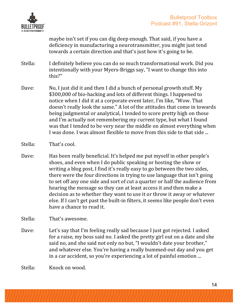

maybe isn't set if you can dig deep enough. That said, if you have a deficiency in manufacturing a neurotransmitter, you might just tend towards a certain direction and that's just how it's going to be.

- Stella: I definitely believe you can do so much transformational work. Did you intentionally with your Myers-Briggs say, "I want to change this into this?"
- Dave: No, I just did it and then I did a bunch of personal growth stuff. My \$300,000 of bio-hacking and lots of different things. I happened to notice when I did it at a corporate event later, I'm like, "Wow. That doesn't really look the same." A lot of the attitudes that come in towards being judgmental or analytical, I tended to score pretty high on those and I'm actually not remembering my current type, but what I found was that I tended to be very near the middle on almost everything when I was done. I was almost flexible to move from this side to that side ...
- Stella: That's cool.
- Dave: Has been really beneficial. It's helped me put myself in other people's shoes, and even when I do public speaking or hosting the show or writing a blog post, I find it's really easy to go between the two sides, there were the four directions in trying to use language that isn't going to set off any one side and sort of cut a quarter or half the audience from hearing the message so they can at least access it and then make a decision as to whether they want to use it or throw it away or whatever else. If I can't get past the built-in filters, it seems like people don't even have a chance to read it.

Stella: That's awesome.

Dave: Let's say that I'm feeling really sad because I just got rejected. I asked for a raise, my boss said no. I asked the pretty girl out on a date and she said no, and she said not only no but, "I wouldn't date your brother," and whatever else. You're having a really bummed-out day and you get in a car accident, so you're experiencing a lot of painful emotion ...

Stella: Knock on wood.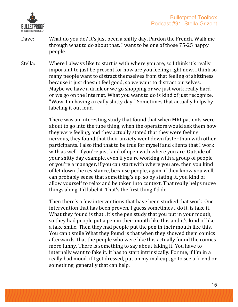

- Dave: What do you do? It's just been a shitty day. Pardon the French. Walk me through what to do about that. I want to be one of those 75-25 happy people.
- Stella: Where I always like to start is with where you are, so I think it's really important to just be present for how are you feeling right now. I think so many people want to distract themselves from that feeling of shittiness because it just doesn't feel good, so we want to distract ourselves. Maybe we have a drink or we go shopping or we just work really hard or we go on the Internet. What you want to do is kind of just recognize, "Wow. I'm having a really shitty day." Sometimes that actually helps by labeling it out loud.

There was an interesting study that found that when MRI patients were about to go into the tube thing, when the operators would ask them how they were feeling, and they actually stated that they were feeling nervous, they found that their anxiety went down faster than with other participants. I also find that to be true for myself and clients that I work with as well. if you're just kind of open with where you are. Outside of your shitty day example, even if you're working with a group of people or you're a manager, if you can start with where you are, then you kind of let down the resistance, because people, again, if they know you well, can probably sense that something's up, so by stating it, you kind of allow yourself to relax and be taken into context. That really helps move things along. I'd label it. That's the first thing I'd do.

Then there's a few interventions that have been studied that work. One intervention that has been proven, I guess sometimes I do it, is fake it. What they found is that, it's the pen study that you put in your mouth, so they had people put a pen in their mouth like this and it's kind of like a fake smile. Then they had people put the pen in their mouth like this. You can't smile What they found is that when they showed them comics afterwards, that the people who were like this actually found the comics more funny. There is something to say about faking it. You have to internally want to fake it. It has to start intrinsically. For me, if I'm in a really bad mood, if I get dressed, put on my makeup, go to see a friend or something, generally that can help.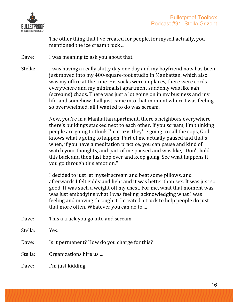

The other thing that I've created for people, for myself actually, you mentioned the ice cream truck ...

- Dave: I was meaning to ask you about that.
- Stella: I was having a really shitty day one day and my boyfriend now has been just moved into my 400-square-foot studio in Manhattan, which also was my office at the time. His socks were in places, there were cords everywhere and my minimalist apartment suddenly was like aah (screams) chaos. There was just a lot going on in my business and my life, and somehow it all just came into that moment where I was feeling so overwhelmed, all I wanted to do was scream.

Now, you're in a Manhattan apartment, there's neighbors everywhere, there's buildings stacked next to each other. If you scream, I'm thinking people are going to think I'm crazy, they're going to call the cops, God knows what's going to happen. Part of me actually paused and that's when, if you have a meditation practice, you can pause and kind of watch your thoughts, and part of me paused and was like, "Don't hold this back and then just hop over and keep going. See what happens if you go through this emotion."

I decided to just let myself scream and beat some pillows, and afterwards I felt giddy and light and it was better than sex. It was just so good. It was such a weight off my chest. For me, what that moment was was just embodying what I was feeling, acknowledging what I was feeling and moving through it. I created a truck to help people do just that more often. Whatever you can do to ...

- Dave: This a truck you go into and scream.
- Stella: Yes.
- Dave: Is it permanent? How do you charge for this?
- Stella: Organizations hire us ...
- Dave: I'm just kidding.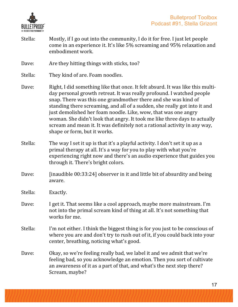

- Stella: Mostly, if I go out into the community, I do it for free. I just let people come in an experience it. It's like 5% screaming and 95% relaxation and embodiment work.
- Dave: Are they hitting things with sticks, too?
- Stella: They kind of are. Foam noodles.
- Dave: Right, I did something like that once. It felt absurd. It was like this multiday personal growth retreat. It was really profound. I watched people snap. There was this one grandmother there and she was kind of standing there screaming, and all of a sudden, she really got into it and just demolished her foam noodle. Like, wow, that was one angry woman. She didn't look that angry. It took me like three days to actually scream and mean it. It was definitely not a rational activity in any way, shape or form, but it works.
- Stella: The way I set it up is that it's a playful activity. I don't set it up as a primal therapy at all. It's a way for you to play with what you're experiencing right now and there's an audio experience that guides you through it. There's bright colors.
- Dave: [inaudible 00:33:24] observer in it and little bit of absurdity and being aware.
- Stella: Exactly.
- Dave: I get it. That seems like a cool approach, maybe more mainstream. I'm not into the primal scream kind of thing at all. It's not something that works for me.
- Stella: I'm not either. I think the biggest thing is for you just to be conscious of where you are and don't try to rush out of it, if you could back into your center, breathing, noticing what's good.
- Dave: Okay, so we're feeling really bad, we label it and we admit that we're feeling bad, so you acknowledge an emotion. Then you sort of cultivate an awareness of it as a part of that, and what's the next step there? Scream, maybe?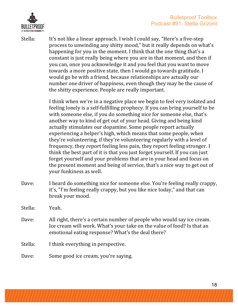

Stella: It's not like a linear approach. I wish I could say, "Here's a five-step process to unwinding any shitty mood," but it really depends on what's happening for you in the moment. I think that the one thing that's a constant is just really being where you are in that moment, and then if you can, once you acknowledge it and you feel that you want to move towards a more positive state, then I would go towards gratitude. I would go be with a friend, because relationships are actually our number one driver of happiness, even though they may be the cause of the shitty experience. People are really important.

> I think when we're in a negative place we begin to feel very isolated and feeling lonely is a self-fulfilling prophecy. If you can bring yourself to be with someone else, if you do something nice for someone else, that's another way to kind of get out of your head. Giving and being kind actually stimulates our dopamine. Some people report actually experiencing a helper's high, which means that some people, when they're volunteering, if they're volunteering regularly with a level of frequency, they report feeling less pain, they report feeling stronger. I think the best part of it is that you just forget yourself. If you can just forget yourself and your problems that are in your head and focus on the present moment and being of service, that's a nice way to get out of your funkiness as well.

Dave: I heard do something nice for someone else. You're feeling really crappy, it's, "I'm feeling really crappy, but you like nice today," and that can break your mood.

Stella: Yeah.

Dave: All right, there's a certain number of people who would say ice cream. Ice cream will work. What's your take on the value of food? Is that an emotional eating response? What's the deal there?

Stella: I think everything in perspective.

Dave: Some good ice cream, you're saying.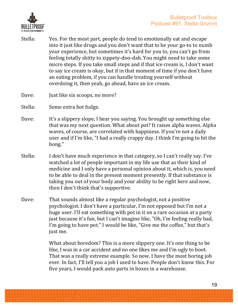

- Stella: Yes. For the most part, people do tend to emotionally eat and escape into it just like drugs and you don't want that to be your go-to to numb your experience, but sometimes it's hard for you to, you can't go from feeling totally shitty to zippety-doo-dah. You might need to take some micro steps. If you take small steps and if that ice cream is, I don't want to say ice cream is okay, but if in that moment of time if you don't have an eating problem, if you can handle treating yourself without overdoing it, then yeah, go ahead, have an ice cream.
- Dave: **Just like six scoops**, no more?
- Stella: Some extra hot fudge.
- Dave: It's a slippery slope, I hear you saying. You brought up something else that was my next question. What about pot? It raises alpha waves. Alpha waves, of course, are correlated with happiness. If you're not a daily user and if I'm like, "I had a really crappy day. I think I'm going to hit the bong."
- Stella: I don't have much experience in that category, so I can't really say. I've watched a lot of people important in my life use that as their kind of medicine and I only have a personal opinion about it, which is, you need to be able to deal in the present moment presently. If that substance is taking you out of your body and your ability to be right here and now, then I don't think that's supportive.
- Dave: That sounds almost like a regular psychologist, not a positive psychologist. I don't have a particular, I'm not opposed but I'm not a huge user. I'll eat something with pot in it on a rare occasion at a party just because it's fun, but I can't imagine like, "Oh, I'm feeling really bad, I'm going to have pot." I would be like, "Give me the coffee," but that's just me.

What about boredom? This is a more slippery one. It's one thing to be like, I was in a car accident and no one likes me and I'm ugly to boot. That was a really extreme example. So now, I have the most boring job ever. In fact, I'll tell you a job I used to have. People don't know this. For five years, I would pack auto parts in boxes in a warehouse.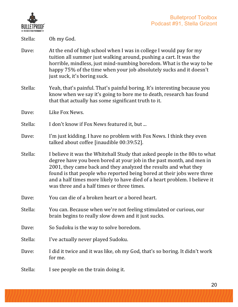

Stella: Oh my God.

- Dave: At the end of high school when I was in college I would pay for my tuition all summer just walking around, pushing a cart. It was the horrible, mindless, just mind-numbing boredom. What is the way to be happy 75% of the time when your job absolutely sucks and it doesn't just suck, it's boring suck.
- Stella: Yeah, that's painful. That's painful boring. It's interesting because you know when we say it's going to bore me to death, research has found that that actually has some significant truth to it.
- Dave: Like Fox News.
- Stella: I don't know if Fox News featured it, but ...
- Dave: I'm just kidding. I have no problem with Fox News. I think they even talked about coffee [inaudible 00:39:52].
- Stella: I believe it was the Whitehall Study that asked people in the 80s to what degree have you been bored at your job in the past month, and men in 2001, they came back and they analyzed the results and what they found is that people who reported being bored at their jobs were three and a half times more likely to have died of a heart problem. I believe it was three and a half times or three times.
- Dave: You can die of a broken heart or a bored heart.
- Stella: You can. Because when we're not feeling stimulated or curious, our brain begins to really slow down and it just sucks.
- Dave: So Sudoku is the way to solve boredom.
- Stella: I've actually never played Sudoku.
- Dave: I did it twice and it was like, oh my God, that's so boring. It didn't work for me.
- Stella: I see people on the train doing it.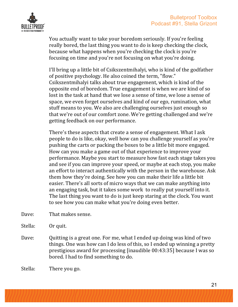

You actually want to take your boredom seriously. If you're feeling really bored, the last thing you want to do is keep checking the clock, because what happens when you're checking the clock is you're focusing on time and you're not focusing on what you're doing.

I'll bring up a little bit of Csikszentmihalyi, who is kind of the godfather of positive psychology. He also coined the term, "flow." Csikszentmihalyi talks about true engagement, which is kind of the opposite end of boredom. True engagement is when we are kind of so lost in the task at hand that we lose a sense of time, we lose a sense of space, we even forget ourselves and kind of our ego, rumination, what stuff means to you. We also are challenging ourselves just enough so that we're out of our comfort zone. We're getting challenged and we're getting feedback on our performance.

There's these aspects that create a sense of engagement. What I ask people to do is like, okay, well how can you challenge yourself as you're pushing the carts or packing the boxes to be a little bit more engaged. How can you make a game out of that experience to improve your performance. Maybe you start to measure how fast each stage takes you and see if you can improve your speed, or maybe at each stop, you make an effort to interact authentically with the person in the warehouse. Ask them how they're doing. See how you can make their life a little bit easier. There's all sorts of micro ways that we can make anything into an engaging task, but it takes some work to really put yourself into it. The last thing you want to do is just keep staring at the clock. You want to see how you can make what you're doing even better.

- Dave: That makes sense.
- Stella: Or quit.
- Dave: Quitting is a great one. For me, what I ended up doing was kind of two things. One was how can I do less of this, so I ended up winning a pretty prestigious award for processing [inaudible 00:43:35] because I was so bored. I had to find something to do.

Stella: There you go.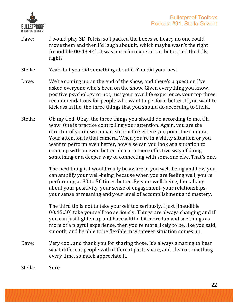

Dave: I would play 3D Tetris, so I packed the boxes so heavy no one could move them and then I'd laugh about it, which maybe wasn't the right [inaudible  $00:43:44$ ]. It was not a fun experience, but it paid the bills, right?

Stella: Yeah, but you did something about it. You did your best.

- Dave: We're coming up on the end of the show, and there's a question I've asked everyone who's been on the show. Given everything you know, positive psychology or not, just your own life experience, your top three recommendations for people who want to perform better. If you want to kick ass in life, the three things that you should do according to Stella.
- Stella: Oh my God. Okay, the three things you should do according to me. Oh, wow. One is practice controlling your attention. Again, you are the director of your own movie, so practice where you point the camera. Your attention is that camera. When you're in a shitty situation or you want to perform even better, how else can you look at a situation to come up with an even better idea or a more effective way of doing something or a deeper way of connecting with someone else. That's one.

The next thing is I would really be aware of you well-being and how you can amplify your well-being, because when you are feeling well, you're performing at 30 to 50 times better. By your well-being, I'm talking about your positivity, your sense of engagement, your relationships, your sense of meaning and your level of accomplishment and mastery.

The third tip is not to take yourself too seriously. I just [inaudible  $00:45:30$ ] take yourself too seriously. Things are always changing and if you can just lighten up and have a little bit more fun and see things as more of a playful experience, then you're more likely to be, like you said, smooth, and be able to be flexible in whatever situation comes up.

Dave: Very cool, and thank you for sharing those. It's always amazing to hear what different people with different pasts share, and I learn something every time, so much appreciate it.

Stella: Sure.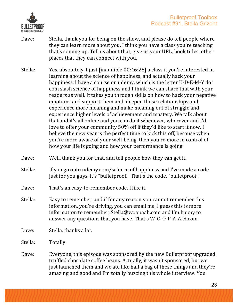

- Dave: Stella, thank you for being on the show, and please do tell people where they can learn more about you. I think you have a class you're teaching that's coming up. Tell us about that, give us your URL, book titles, other places that they can connect with you.
- Stella: Yes, absolutely. I just [inaudible 00:46:25] a class if you're interested in learning about the science of happiness, and actually hack your happiness, I have a course on udemy, which is the letter U-D-E-M-Y dot com slash science of happiness and I think we can share that with your readers as well. It takes you through skills on how to hack your negative emotions and support them and deepen those relationships and experience more meaning and make meaning out of struggle and experience higher levels of achievement and mastery. We talk about that and it's all online and you can do it whenever, wherever and I'd love to offer your community 50% off if they'd like to start it now. I believe the new year is the perfect time to kick this off, because when you're more aware of your well-being, then you're more in control of how your life is going and how your performance is going.
- Dave: Well, thank you for that, and tell people how they can get it.
- Stella: If you go onto udemy.com/science of happiness and I've made a code just for you guys, it's "bulletproof." That's the code, "bulletproof."
- Dave: That's an easy-to-remember code. I like it.
- Stella: Easy to remember, and if for any reason you cannot remember this information, you're driving, you can email me, I guess this is more information to remember, Stella@woopaah.com and I'm happy to answer any questions that you have. That's W-O-O-P-A-A-H.com
- Dave: Stella, thanks a lot.

Stella: Totally.

Dave: Everyone, this episode was sponsored by the new Bulletproof upgraded truffled chocolate coffee beans. Actually, it wasn't sponsored, but we just launched them and we ate like half a bag of these things and they're amazing and good and I'm totally buzzing this whole interview. You